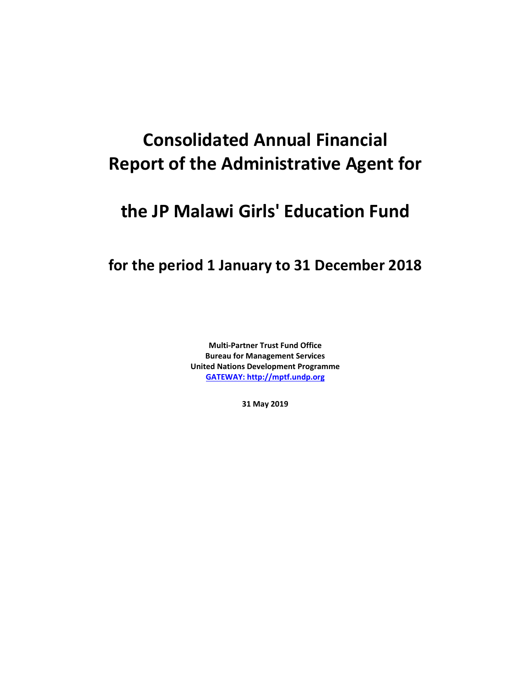# **Consolidated Annual Financial Report of the Administrative Agent for**

# **the JP Malawi Girls' Education Fund**

### **for the period 1 January to 31 December 2018**

**Multi-Partner Trust Fund Office Bureau for Management Services United Nations Development Programme [GATEWAY: http://mptf.undp.org](http://mptf.undp.org/)**

**31 May 2019**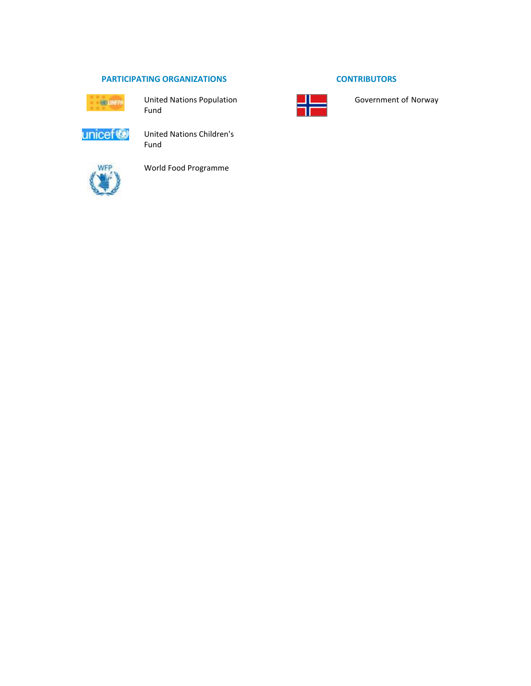### **PARTICIPATING ORGANIZATIONS CONTRIBUTORS**



United Nations Population Fund



United Nations Children's Fund



World Food Programme



Government of Norway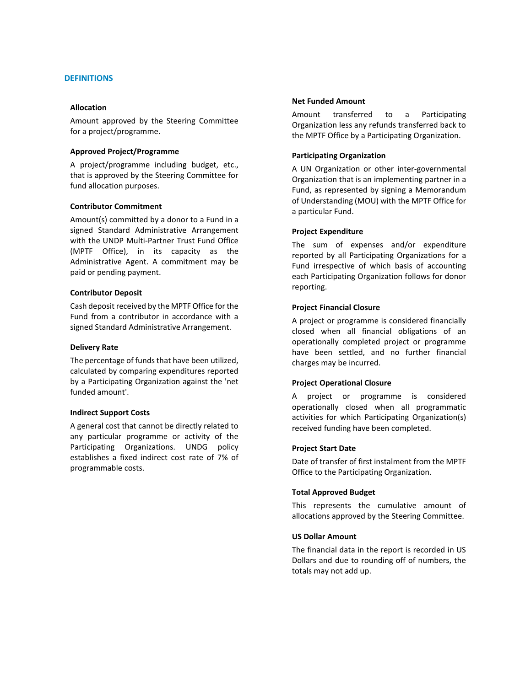#### **DEFINITIONS**

#### **Allocation**

Amount approved by the Steering Committee for a project/programme.

#### **Approved Project/Programme**

A project/programme including budget, etc., that is approved by the Steering Committee for fund allocation purposes.

#### **Contributor Commitment**

Amount(s) committed by a donor to a Fund in a signed Standard Administrative Arrangement with the UNDP Multi-Partner Trust Fund Office (MPTF Office), in its capacity as the Administrative Agent. A commitment may be paid or pending payment.

#### **Contributor Deposit**

Cash deposit received by the MPTF Office for the Fund from a contributor in accordance with a signed Standard Administrative Arrangement.

#### **Delivery Rate**

The percentage of funds that have been utilized, calculated by comparing expenditures reported by a Participating Organization against the 'net funded amount'.

#### **Indirect Support Costs**

A general cost that cannot be directly related to any particular programme or activity of the Participating Organizations. UNDG policy establishes a fixed indirect cost rate of 7% of programmable costs.

#### **Net Funded Amount**

Amount transferred to a Participating Organization less any refunds transferred back to the MPTF Office by a Participating Organization.

#### **Participating Organization**

A UN Organization or other inter-governmental Organization that is an implementing partner in a Fund, as represented by signing a Memorandum of Understanding (MOU) with the MPTF Office for a particular Fund.

#### **Project Expenditure**

The sum of expenses and/or expenditure reported by all Participating Organizations for a Fund irrespective of which basis of accounting each Participating Organization follows for donor reporting.

#### **Project Financial Closure**

A project or programme is considered financially closed when all financial obligations of an operationally completed project or programme have been settled, and no further financial charges may be incurred.

#### **Project Operational Closure**

A project or programme is considered operationally closed when all programmatic activities for which Participating Organization(s) received funding have been completed.

#### **Project Start Date**

Date of transfer of first instalment from the MPTF Office to the Participating Organization.

#### **Total Approved Budget**

This represents the cumulative amount of allocations approved by the Steering Committee.

#### **US Dollar Amount**

The financial data in the report is recorded in US Dollars and due to rounding off of numbers, the totals may not add up.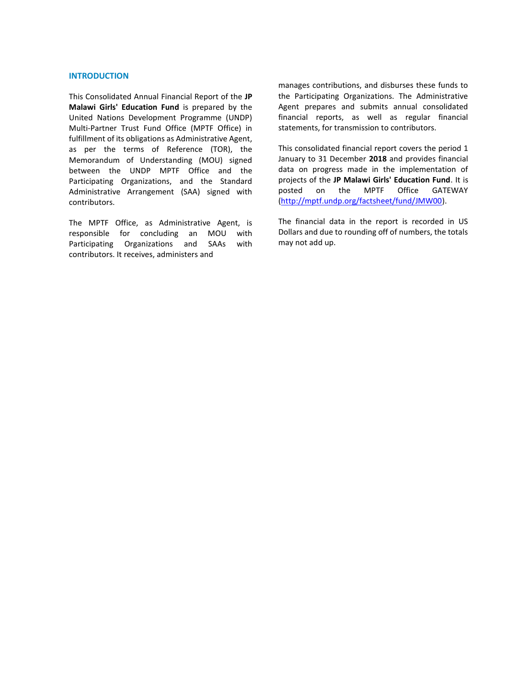#### **INTRODUCTION**

This Consolidated Annual Financial Report of the **JP Malawi Girls' Education Fund** is prepared by the United Nations Development Programme (UNDP) Multi-Partner Trust Fund Office (MPTF Office) in fulfillment of its obligations as Administrative Agent, as per the terms of Reference (TOR), the Memorandum of Understanding (MOU) signed between the UNDP MPTF Office and the Participating Organizations, and the Standard Administrative Arrangement (SAA) signed with contributors.

The MPTF Office, as Administrative Agent, is responsible for concluding an MOU with Participating Organizations and SAAs with contributors. It receives, administers and

manages contributions, and disburses these funds to the Participating Organizations. The Administrative Agent prepares and submits annual consolidated financial reports, as well as regular financial statements, for transmission to contributors.

This consolidated financial report covers the period 1 January to 31 December **2018** and provides financial data on progress made in the implementation of projects of the **JP Malawi Girls' Education Fund**. It is posted on the MPTF Office GATEWAY [\(http://mptf.undp.org/factsheet/fund/JMW00\)](http://mptf.undp.org/factsheet/fund/JMW00).

The financial data in the report is recorded in US Dollars and due to rounding off of numbers, the totals may not add up.